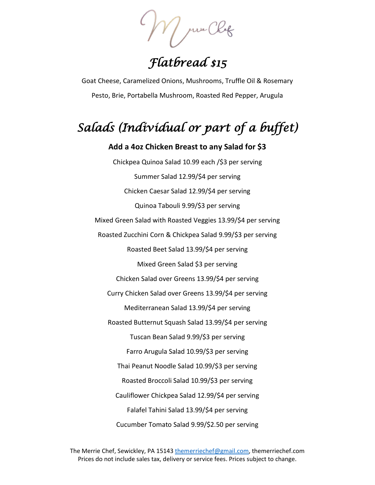$M$  pwe Chef

*Flatbread \$15* 

Goat Cheese, Caramelized Onions, Mushrooms, Truffle Oil & Rosemary Pesto, Brie, Portabella Mushroom, Roasted Red Pepper, Arugula

## *Salads (Individual or part of a buffet)*

**Add a 4oz Chicken Breast to any Salad for \$3** Chickpea Quinoa Salad 10.99 each /\$3 per serving Summer Salad 12.99/\$4 per serving Chicken Caesar Salad 12.99/\$4 per serving Quinoa Tabouli 9.99/\$3 per serving Mixed Green Salad with Roasted Veggies 13.99/\$4 per serving Roasted Zucchini Corn & Chickpea Salad 9.99/\$3 per serving Roasted Beet Salad 13.99/\$4 per serving Mixed Green Salad \$3 per serving Chicken Salad over Greens 13.99/\$4 per serving Curry Chicken Salad over Greens 13.99/\$4 per serving Mediterranean Salad 13.99/\$4 per serving Roasted Butternut Squash Salad 13.99/\$4 per serving Tuscan Bean Salad 9.99/\$3 per serving Farro Arugula Salad 10.99/\$3 per serving Thai Peanut Noodle Salad 10.99/\$3 per serving Roasted Broccoli Salad 10.99/\$3 per serving Cauliflower Chickpea Salad 12.99/\$4 per serving Falafel Tahini Salad 13.99/\$4 per serving Cucumber Tomato Salad 9.99/\$2.50 per serving

The Merrie Chef, Sewickley, PA 15143 [themerriechef@gmail.com,](mailto:themerriechef@gmail.com) themerriechef.com Prices do not include sales tax, delivery or service fees. Prices subject to change.